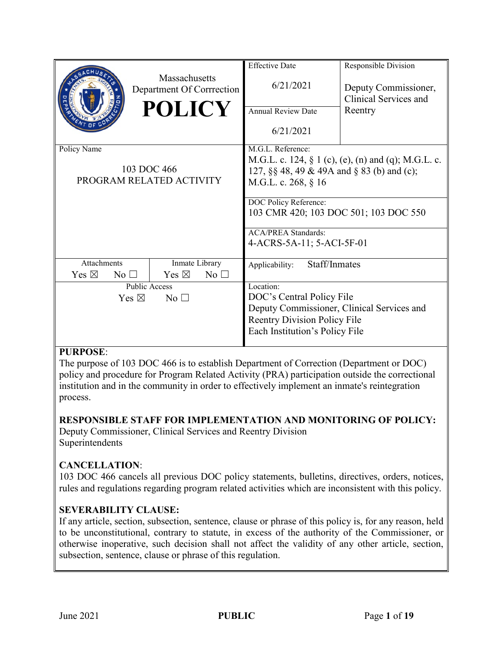|                                    |                                                   | <b>Effective Date</b>                      | Responsible Division                                   |  |
|------------------------------------|---------------------------------------------------|--------------------------------------------|--------------------------------------------------------|--|
|                                    | <b>Massachusetts</b><br>Department Of Corrrection | 6/21/2021                                  | Deputy Commissioner,<br>Clinical Services and          |  |
|                                    | <b>POLICY</b>                                     | <b>Annual Review Date</b>                  | Reentry                                                |  |
|                                    |                                                   | 6/21/2021                                  |                                                        |  |
| Policy Name                        |                                                   | M.G.L. Reference:                          |                                                        |  |
|                                    |                                                   |                                            | M.G.L. c. 124, $\S$ 1 (c), (e), (n) and (q); M.G.L. c. |  |
|                                    | 103 DOC 466                                       | 127, §§ 48, 49 & 49A and § 83 (b) and (c); |                                                        |  |
| PROGRAM RELATED ACTIVITY           |                                                   | M.G.L. c. 268, § 16                        |                                                        |  |
|                                    |                                                   | DOC Policy Reference:                      |                                                        |  |
|                                    |                                                   | 103 CMR 420; 103 DOC 501; 103 DOC 550      |                                                        |  |
|                                    |                                                   | <b>ACA/PREA Standards:</b>                 |                                                        |  |
|                                    |                                                   | 4-ACRS-5A-11; 5-ACI-5F-01                  |                                                        |  |
| <b>Attachments</b>                 | Inmate Library                                    | Staff/Inmates<br>Applicability:            |                                                        |  |
| Yes $\boxtimes$<br>No <sub>1</sub> | Yes $\boxtimes$<br>No <sub>1</sub>                |                                            |                                                        |  |
|                                    | Public Access                                     | Location:                                  |                                                        |  |
| Yes $\boxtimes$<br>No <sub>1</sub> |                                                   | DOC's Central Policy File                  |                                                        |  |
|                                    |                                                   | Deputy Commissioner, Clinical Services and |                                                        |  |
|                                    |                                                   | <b>Reentry Division Policy File</b>        |                                                        |  |
|                                    |                                                   | Each Institution's Policy File             |                                                        |  |
|                                    |                                                   |                                            |                                                        |  |

# **PURPOSE**:

The purpose of 103 DOC 466 is to establish Department of Correction (Department or DOC) policy and procedure for Program Related Activity (PRA) participation outside the correctional institution and in the community in order to effectively implement an inmate's reintegration process.

# **RESPONSIBLE STAFF FOR IMPLEMENTATION AND MONITORING OF POLICY:**

Deputy Commissioner, Clinical Services and Reentry Division Superintendents

# **CANCELLATION**:

103 DOC 466 cancels all previous DOC policy statements, bulletins, directives, orders, notices, rules and regulations regarding program related activities which are inconsistent with this policy.

# **SEVERABILITY CLAUSE:**

If any article, section, subsection, sentence, clause or phrase of this policy is, for any reason, held to be unconstitutional, contrary to statute, in excess of the authority of the Commissioner, or otherwise inoperative, such decision shall not affect the validity of any other article, section, subsection, sentence, clause or phrase of this regulation.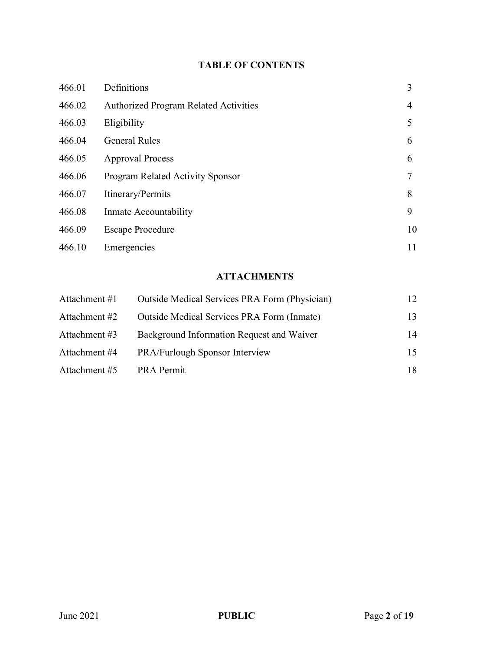# **TABLE OF CONTENTS**

| 466.01 | Definitions                                  | 3  |
|--------|----------------------------------------------|----|
| 466.02 | <b>Authorized Program Related Activities</b> | 4  |
| 466.03 | Eligibility                                  | 5  |
| 466.04 | <b>General Rules</b>                         | 6  |
| 466.05 | <b>Approval Process</b>                      | 6  |
| 466.06 | <b>Program Related Activity Sponsor</b>      | 7  |
| 466.07 | Itinerary/Permits                            | 8  |
| 466.08 | Inmate Accountability                        | 9  |
| 466.09 | <b>Escape Procedure</b>                      | 10 |
| 466.10 | Emergencies                                  | 11 |

# **ATTACHMENTS**

| Attachment #1 | Outside Medical Services PRA Form (Physician) | 12 |
|---------------|-----------------------------------------------|----|
| Attachment #2 | Outside Medical Services PRA Form (Inmate)    | 13 |
| Attachment #3 | Background Information Request and Waiver     | 14 |
| Attachment #4 | PRA/Furlough Sponsor Interview                | 15 |
| Attachment #5 | <b>PRA Permit</b>                             | 18 |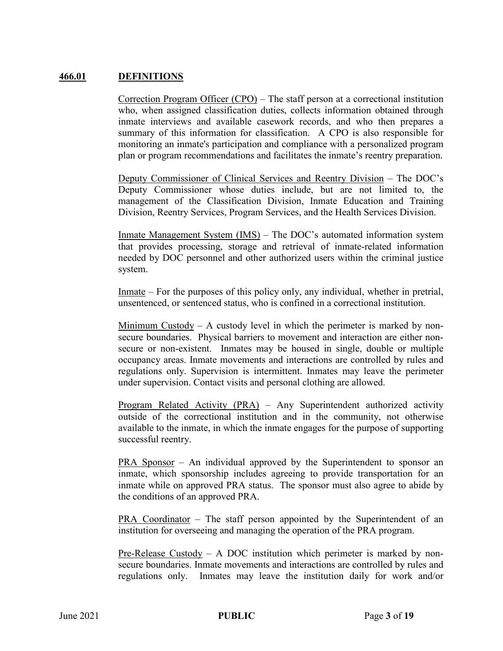### **466.01 DEFINITIONS**

Correction Program Officer (CPO) – The staff person at a correctional institution who, when assigned classification duties, collects information obtained through inmate interviews and available casework records, and who then prepares a summary of this information for classification. A CPO is also responsible for monitoring an inmate's participation and compliance with a personalized program plan or program recommendations and facilitates the inmate's reentry preparation.

Deputy Commissioner of Clinical Services and Reentry Division – The DOC's Deputy Commissioner whose duties include, but are not limited to, the management of the Classification Division, Inmate Education and Training Division, Reentry Services, Program Services, and the Health Services Division.

Inmate Management System (IMS) – The DOC's automated information system that provides processing, storage and retrieval of inmate-related information needed by DOC personnel and other authorized users within the criminal justice system.

Inmate – For the purposes of this policy only, any individual, whether in pretrial, unsentenced, or sentenced status, who is confined in a correctional institution.

Minimum Custody – A custody level in which the perimeter is marked by nonsecure boundaries. Physical barriers to movement and interaction are either nonsecure or non-existent. Inmates may be housed in single, double or multiple occupancy areas. Inmate movements and interactions are controlled by rules and regulations only. Supervision is intermittent. Inmates may leave the perimeter under supervision. Contact visits and personal clothing are allowed.

Program Related Activity (PRA) – Any Superintendent authorized activity outside of the correctional institution and in the community, not otherwise available to the inmate, in which the inmate engages for the purpose of supporting successful reentry.

PRA Sponsor – An individual approved by the Superintendent to sponsor an inmate, which sponsorship includes agreeing to provide transportation for an inmate while on approved PRA status. The sponsor must also agree to abide by the conditions of an approved PRA.

PRA Coordinator – The staff person appointed by the Superintendent of an institution for overseeing and managing the operation of the PRA program.

Pre-Release Custody – A DOC institution which perimeter is marked by nonsecure boundaries. Inmate movements and interactions are controlled by rules and regulations only. Inmates may leave the institution daily for work and/or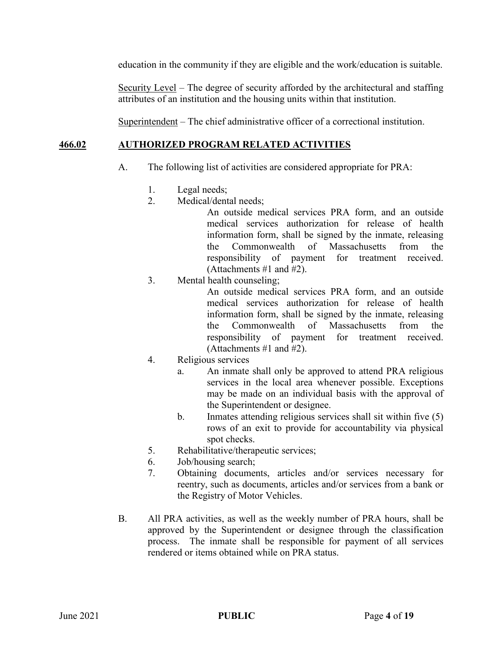education in the community if they are eligible and the work/education is suitable.

Security Level – The degree of security afforded by the architectural and staffing attributes of an institution and the housing units within that institution.

Superintendent – The chief administrative officer of a correctional institution.

# **466.02 AUTHORIZED PROGRAM RELATED ACTIVITIES**

- A. The following list of activities are considered appropriate for PRA:
	- 1. Legal needs;
	- 2. Medical/dental needs;

An outside medical services PRA form, and an outside medical services authorization for release of health information form, shall be signed by the inmate, releasing the Commonwealth of Massachusetts from the responsibility of payment for treatment received. (Attachments #1 and #2).

3. Mental health counseling;

An outside medical services PRA form, and an outside medical services authorization for release of health information form, shall be signed by the inmate, releasing the Commonwealth of Massachusetts from the responsibility of payment for treatment received. (Attachments #1 and #2).

- 4. Religious services
	- a. An inmate shall only be approved to attend PRA religious services in the local area whenever possible. Exceptions may be made on an individual basis with the approval of the Superintendent or designee.
	- b. Inmates attending religious services shall sit within five (5) rows of an exit to provide for accountability via physical spot checks.
- 5. Rehabilitative/therapeutic services;
- 6. Job/housing search;
- 7. Obtaining documents, articles and/or services necessary for reentry, such as documents, articles and/or services from a bank or the Registry of Motor Vehicles.
- B. All PRA activities, as well as the weekly number of PRA hours, shall be approved by the Superintendent or designee through the classification process. The inmate shall be responsible for payment of all services rendered or items obtained while on PRA status.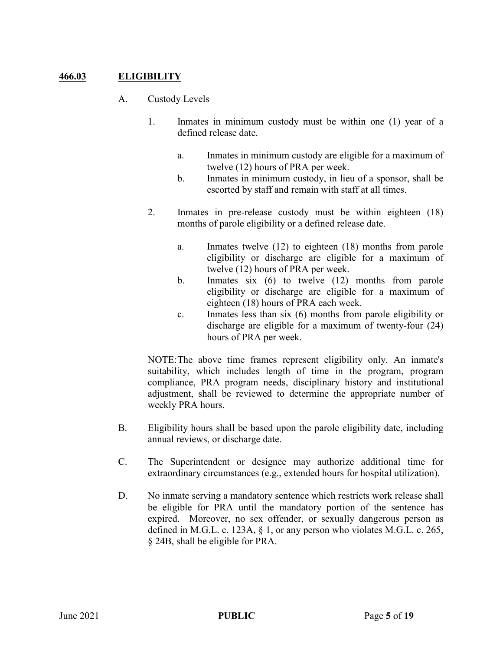# **466.03 ELIGIBILITY**

- A. Custody Levels
	- 1. Inmates in minimum custody must be within one (1) year of a defined release date.
		- a. Inmates in minimum custody are eligible for a maximum of twelve (12) hours of PRA per week.
		- b. Inmates in minimum custody, in lieu of a sponsor, shall be escorted by staff and remain with staff at all times.
	- 2. Inmates in pre-release custody must be within eighteen (18) months of parole eligibility or a defined release date.
		- a. Inmates twelve (12) to eighteen (18) months from parole eligibility or discharge are eligible for a maximum of twelve (12) hours of PRA per week.
		- b. Inmates six (6) to twelve (12) months from parole eligibility or discharge are eligible for a maximum of eighteen (18) hours of PRA each week.
		- c. Inmates less than six (6) months from parole eligibility or discharge are eligible for a maximum of twenty-four (24) hours of PRA per week.

NOTE:The above time frames represent eligibility only. An inmate's suitability, which includes length of time in the program, program compliance, PRA program needs, disciplinary history and institutional adjustment, shall be reviewed to determine the appropriate number of weekly PRA hours.

- B. Eligibility hours shall be based upon the parole eligibility date, including annual reviews, or discharge date.
- C. The Superintendent or designee may authorize additional time for extraordinary circumstances (e.g., extended hours for hospital utilization).
- D. No inmate serving a mandatory sentence which restricts work release shall be eligible for PRA until the mandatory portion of the sentence has expired. Moreover, no sex offender, or sexually dangerous person as defined in M.G.L. c. 123A, § 1, or any person who violates M.G.L. c. 265, § 24B, shall be eligible for PRA.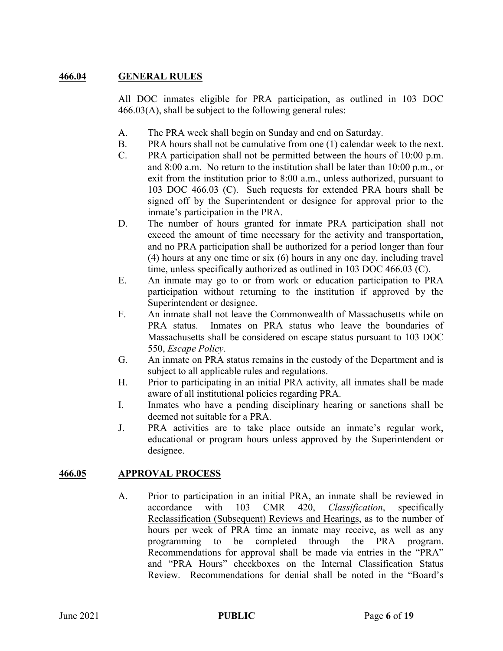# **466.04 GENERAL RULES**

All DOC inmates eligible for PRA participation, as outlined in 103 DOC 466.03(A), shall be subject to the following general rules:

- A. The PRA week shall begin on Sunday and end on Saturday.
- B. PRA hours shall not be cumulative from one (1) calendar week to the next.
- C. PRA participation shall not be permitted between the hours of 10:00 p.m. and 8:00 a.m. No return to the institution shall be later than 10:00 p.m., or exit from the institution prior to 8:00 a.m., unless authorized, pursuant to 103 DOC 466.03 (C). Such requests for extended PRA hours shall be signed off by the Superintendent or designee for approval prior to the inmate's participation in the PRA.
- D. The number of hours granted for inmate PRA participation shall not exceed the amount of time necessary for the activity and transportation, and no PRA participation shall be authorized for a period longer than four (4) hours at any one time or six (6) hours in any one day, including travel time, unless specifically authorized as outlined in 103 DOC 466.03 (C).
- E. An inmate may go to or from work or education participation to PRA participation without returning to the institution if approved by the Superintendent or designee.
- F. An inmate shall not leave the Commonwealth of Massachusetts while on PRA status. Inmates on PRA status who leave the boundaries of Massachusetts shall be considered on escape status pursuant to 103 DOC 550, *Escape Policy*.
- G. An inmate on PRA status remains in the custody of the Department and is subject to all applicable rules and regulations.
- H. Prior to participating in an initial PRA activity, all inmates shall be made aware of all institutional policies regarding PRA.
- I. Inmates who have a pending disciplinary hearing or sanctions shall be deemed not suitable for a PRA.
- J. PRA activities are to take place outside an inmate's regular work, educational or program hours unless approved by the Superintendent or designee.

### **466.05 APPROVAL PROCESS**

A. Prior to participation in an initial PRA, an inmate shall be reviewed in accordance with 103 CMR 420, *Classification*, specifically Reclassification (Subsequent) Reviews and Hearings, as to the number of hours per week of PRA time an inmate may receive, as well as any programming to be completed through the PRA program. Recommendations for approval shall be made via entries in the "PRA" and "PRA Hours" checkboxes on the Internal Classification Status Review. Recommendations for denial shall be noted in the "Board's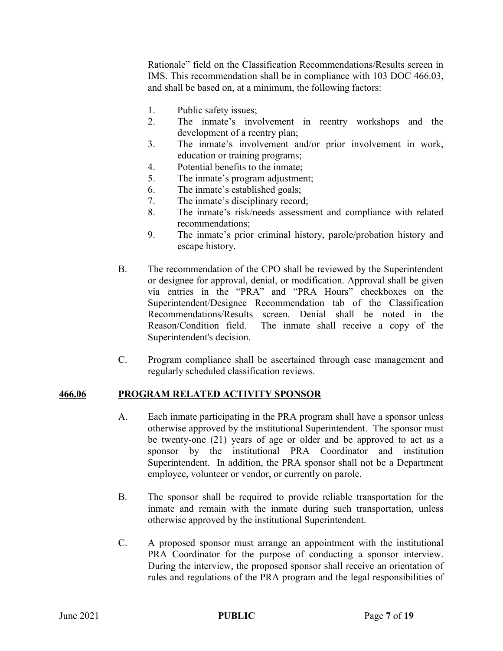Rationale" field on the Classification Recommendations/Results screen in IMS. This recommendation shall be in compliance with 103 DOC 466.03, and shall be based on, at a minimum, the following factors:

- 1. Public safety issues;
- 2. The inmate's involvement in reentry workshops and the development of a reentry plan;
- 3. The inmate's involvement and/or prior involvement in work, education or training programs;
- 4. Potential benefits to the inmate;
- 5. The inmate's program adjustment;
- 6. The inmate's established goals;
- 7. The inmate's disciplinary record;
- 8. The inmate's risk/needs assessment and compliance with related recommendations;
- 9. The inmate's prior criminal history, parole/probation history and escape history.
- B. The recommendation of the CPO shall be reviewed by the Superintendent or designee for approval, denial, or modification. Approval shall be given via entries in the "PRA" and "PRA Hours" checkboxes on the Superintendent/Designee Recommendation tab of the Classification Recommendations/Results screen. Denial shall be noted in the Reason/Condition field. The inmate shall receive a copy of the Superintendent's decision.
- C. Program compliance shall be ascertained through case management and regularly scheduled classification reviews.

### **466.06 PROGRAM RELATED ACTIVITY SPONSOR**

- A. Each inmate participating in the PRA program shall have a sponsor unless otherwise approved by the institutional Superintendent. The sponsor must be twenty-one (21) years of age or older and be approved to act as a sponsor by the institutional PRA Coordinator and institution Superintendent. In addition, the PRA sponsor shall not be a Department employee, volunteer or vendor, or currently on parole.
- B. The sponsor shall be required to provide reliable transportation for the inmate and remain with the inmate during such transportation, unless otherwise approved by the institutional Superintendent.
- C. A proposed sponsor must arrange an appointment with the institutional PRA Coordinator for the purpose of conducting a sponsor interview. During the interview, the proposed sponsor shall receive an orientation of rules and regulations of the PRA program and the legal responsibilities of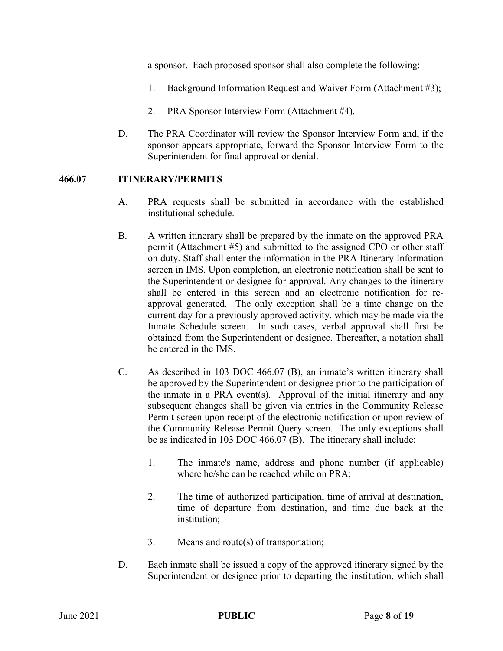a sponsor. Each proposed sponsor shall also complete the following:

- 1. Background Information Request and Waiver Form (Attachment #3);
- 2. PRA Sponsor Interview Form (Attachment #4).
- D. The PRA Coordinator will review the Sponsor Interview Form and, if the sponsor appears appropriate, forward the Sponsor Interview Form to the Superintendent for final approval or denial.

### **466.07 ITINERARY/PERMITS**

- A. PRA requests shall be submitted in accordance with the established institutional schedule.
- B. A written itinerary shall be prepared by the inmate on the approved PRA permit (Attachment #5) and submitted to the assigned CPO or other staff on duty. Staff shall enter the information in the PRA Itinerary Information screen in IMS. Upon completion, an electronic notification shall be sent to the Superintendent or designee for approval. Any changes to the itinerary shall be entered in this screen and an electronic notification for reapproval generated. The only exception shall be a time change on the current day for a previously approved activity, which may be made via the Inmate Schedule screen. In such cases, verbal approval shall first be obtained from the Superintendent or designee. Thereafter, a notation shall be entered in the IMS.
- C. As described in 103 DOC 466.07 (B), an inmate's written itinerary shall be approved by the Superintendent or designee prior to the participation of the inmate in a PRA event(s). Approval of the initial itinerary and any subsequent changes shall be given via entries in the Community Release Permit screen upon receipt of the electronic notification or upon review of the Community Release Permit Query screen. The only exceptions shall be as indicated in 103 DOC 466.07 (B). The itinerary shall include:
	- 1. The inmate's name, address and phone number (if applicable) where he/she can be reached while on PRA;
	- 2. The time of authorized participation, time of arrival at destination, time of departure from destination, and time due back at the institution;
	- 3. Means and route(s) of transportation;
- D. Each inmate shall be issued a copy of the approved itinerary signed by the Superintendent or designee prior to departing the institution, which shall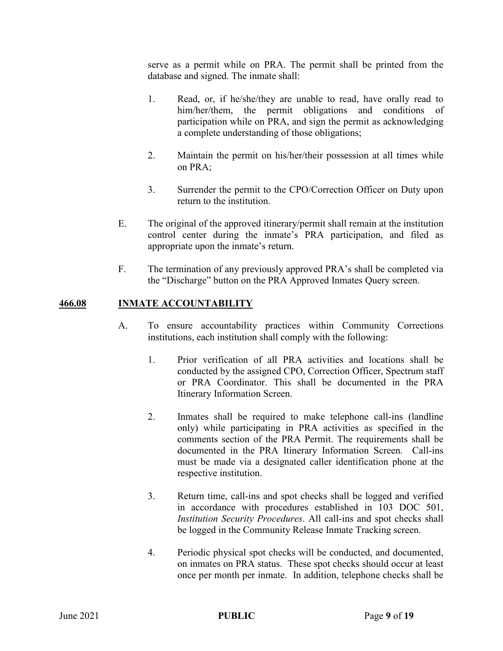serve as a permit while on PRA. The permit shall be printed from the database and signed. The inmate shall:

- 1. Read, or, if he/she/they are unable to read, have orally read to him/her/them, the permit obligations and conditions of participation while on PRA, and sign the permit as acknowledging a complete understanding of those obligations;
- 2. Maintain the permit on his/her/their possession at all times while on PRA;
- 3. Surrender the permit to the CPO/Correction Officer on Duty upon return to the institution.
- E. The original of the approved itinerary/permit shall remain at the institution control center during the inmate's PRA participation, and filed as appropriate upon the inmate's return.
- F. The termination of any previously approved PRA's shall be completed via the "Discharge" button on the PRA Approved Inmates Query screen.

### **466.08 INMATE ACCOUNTABILITY**

- A. To ensure accountability practices within Community Corrections institutions, each institution shall comply with the following:
	- 1. Prior verification of all PRA activities and locations shall be conducted by the assigned CPO, Correction Officer, Spectrum staff or PRA Coordinator. This shall be documented in the PRA Itinerary Information Screen.
	- 2. Inmates shall be required to make telephone call-ins (landline only) while participating in PRA activities as specified in the comments section of the PRA Permit. The requirements shall be documented in the PRA Itinerary Information Screen. Call-ins must be made via a designated caller identification phone at the respective institution.
	- 3. Return time, call-ins and spot checks shall be logged and verified in accordance with procedures established in 103 DOC 501, *Institution Security Procedures*. All call-ins and spot checks shall be logged in the Community Release Inmate Tracking screen.
	- 4. Periodic physical spot checks will be conducted, and documented, on inmates on PRA status. These spot checks should occur at least once per month per inmate. In addition, telephone checks shall be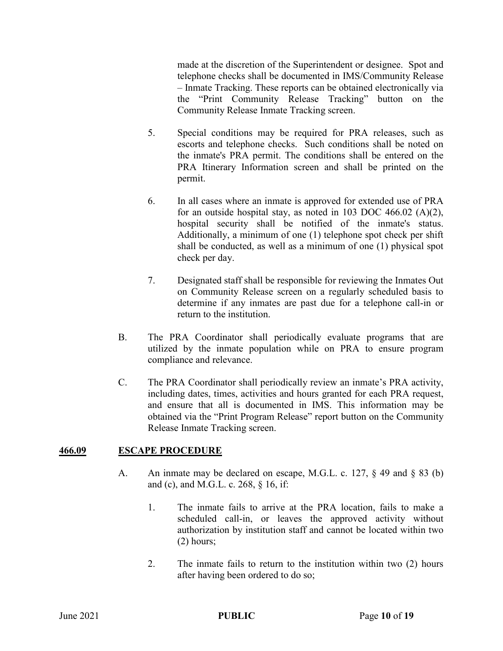made at the discretion of the Superintendent or designee. Spot and telephone checks shall be documented in IMS/Community Release – Inmate Tracking. These reports can be obtained electronically via the "Print Community Release Tracking" button on the Community Release Inmate Tracking screen.

- 5. Special conditions may be required for PRA releases, such as escorts and telephone checks. Such conditions shall be noted on the inmate's PRA permit. The conditions shall be entered on the PRA Itinerary Information screen and shall be printed on the permit.
- 6. In all cases where an inmate is approved for extended use of PRA for an outside hospital stay, as noted in 103 DOC 466.02 (A)(2), hospital security shall be notified of the inmate's status. Additionally, a minimum of one (1) telephone spot check per shift shall be conducted, as well as a minimum of one (1) physical spot check per day.
- 7. Designated staff shall be responsible for reviewing the Inmates Out on Community Release screen on a regularly scheduled basis to determine if any inmates are past due for a telephone call-in or return to the institution.
- B. The PRA Coordinator shall periodically evaluate programs that are utilized by the inmate population while on PRA to ensure program compliance and relevance.
- C. The PRA Coordinator shall periodically review an inmate's PRA activity, including dates, times, activities and hours granted for each PRA request, and ensure that all is documented in IMS. This information may be obtained via the "Print Program Release" report button on the Community Release Inmate Tracking screen.

# **466.09 ESCAPE PROCEDURE**

- A. An inmate may be declared on escape, M.G.L. c. 127, § 49 and § 83 (b) and (c), and M.G.L. c. 268, § 16, if:
	- 1. The inmate fails to arrive at the PRA location, fails to make a scheduled call-in, or leaves the approved activity without authorization by institution staff and cannot be located within two (2) hours;
	- 2. The inmate fails to return to the institution within two (2) hours after having been ordered to do so;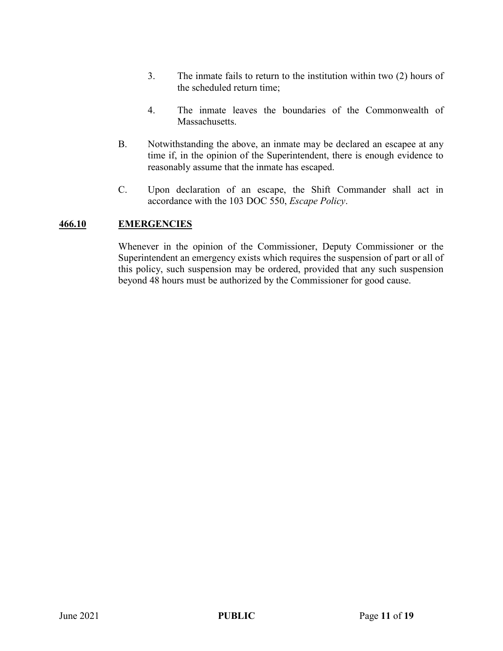- 3. The inmate fails to return to the institution within two (2) hours of the scheduled return time;
- 4. The inmate leaves the boundaries of the Commonwealth of Massachusetts.
- B. Notwithstanding the above, an inmate may be declared an escapee at any time if, in the opinion of the Superintendent, there is enough evidence to reasonably assume that the inmate has escaped.
- C. Upon declaration of an escape, the Shift Commander shall act in accordance with the 103 DOC 550, *Escape Policy*.

### **466.10 EMERGENCIES**

Whenever in the opinion of the Commissioner, Deputy Commissioner or the Superintendent an emergency exists which requires the suspension of part or all of this policy, such suspension may be ordered, provided that any such suspension beyond 48 hours must be authorized by the Commissioner for good cause.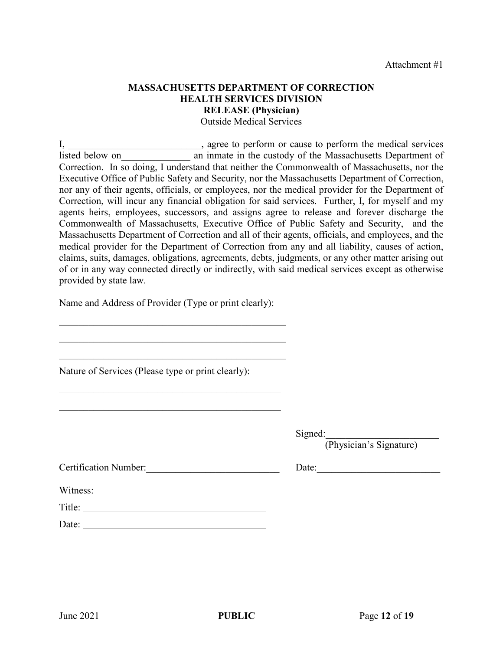### **MASSACHUSETTS DEPARTMENT OF CORRECTION HEALTH SERVICES DIVISION RELEASE (Physician)** Outside Medical Services

I, \_\_\_\_\_\_\_\_\_\_\_\_\_\_\_\_\_\_\_\_\_\_\_, agree to perform or cause to perform the medical services listed below on an inmate in the custody of the Massachusetts Department of Correction. In so doing, I understand that neither the Commonwealth of Massachusetts, nor the Executive Office of Public Safety and Security, nor the Massachusetts Department of Correction, nor any of their agents, officials, or employees, nor the medical provider for the Department of Correction, will incur any financial obligation for said services. Further, I, for myself and my agents heirs, employees, successors, and assigns agree to release and forever discharge the Commonwealth of Massachusetts, Executive Office of Public Safety and Security, and the Massachusetts Department of Correction and all of their agents, officials, and employees, and the medical provider for the Department of Correction from any and all liability, causes of action, claims, suits, damages, obligations, agreements, debts, judgments, or any other matter arising out of or in any way connected directly or indirectly, with said medical services except as otherwise provided by state law.

Name and Address of Provider (Type or print clearly):

 $\mathcal{L}_\mathcal{L}$ 

 $\mathcal{L}_\mathcal{L}$ 

\_\_\_\_\_\_\_\_\_\_\_\_\_\_\_\_\_\_\_\_\_\_\_\_\_\_\_\_\_\_\_\_\_\_\_\_\_\_\_\_\_\_\_\_\_

Nature of Services (Please type or print clearly):

Signed:

(Physician's Signature)

Date:

| <b>Certification Number:</b> |
|------------------------------|
|                              |

| w uness: |  |  |  |
|----------|--|--|--|
|          |  |  |  |
| Title:   |  |  |  |

| Date: |  |  |  |
|-------|--|--|--|

 $W_{\text{max}}$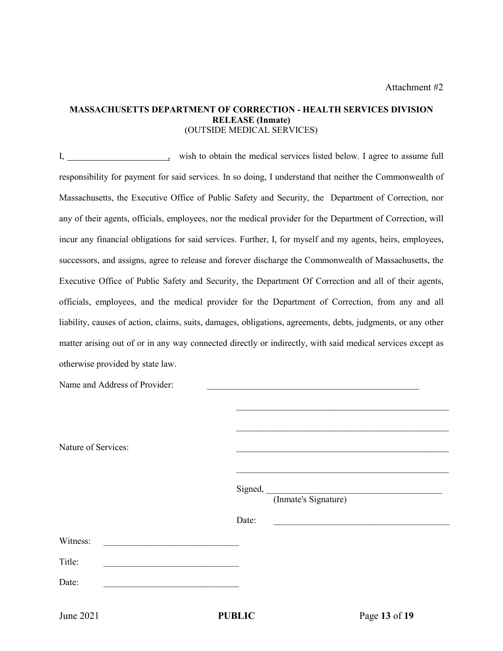#### **MASSACHUSETTS DEPARTMENT OF CORRECTION - HEALTH SERVICES DIVISION RELEASE (Inmate)** (OUTSIDE MEDICAL SERVICES)

I, wish to obtain the medical services listed below. I agree to assume full responsibility for payment for said services. In so doing, I understand that neither the Commonwealth of Massachusetts, the Executive Office of Public Safety and Security, the Department of Correction, nor any of their agents, officials, employees, nor the medical provider for the Department of Correction, will incur any financial obligations for said services. Further, I, for myself and my agents, heirs, employees, successors, and assigns, agree to release and forever discharge the Commonwealth of Massachusetts, the Executive Office of Public Safety and Security, the Department Of Correction and all of their agents, officials, employees, and the medical provider for the Department of Correction, from any and all liability, causes of action, claims, suits, damages, obligations, agreements, debts, judgments, or any other matter arising out of or in any way connected directly or indirectly, with said medical services except as otherwise provided by state law.

| June 2021                     | <b>PUBLIC</b> | Page 13 of 19                              |
|-------------------------------|---------------|--------------------------------------------|
| Date:                         |               |                                            |
| Title:                        |               |                                            |
| Witness:                      |               |                                            |
|                               | Date:         | <u> 1980 - Johann John Stein, markin f</u> |
|                               |               | Signed, (Inmate's Signature)               |
|                               |               |                                            |
| Nature of Services:           |               |                                            |
|                               |               |                                            |
| Name and Address of Provider: |               |                                            |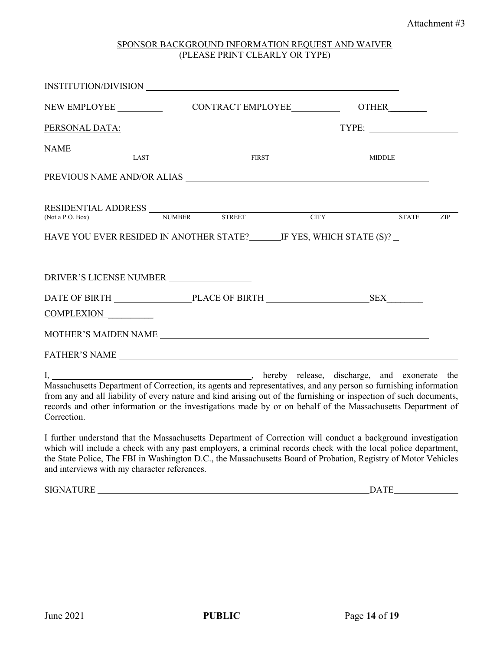#### SPONSOR BACKGROUND INFORMATION REQUEST AND WAIVER (PLEASE PRINT CLEARLY OR TYPE)

|                                                                  | CONTRACT EMPLOYEE OTHER          |     |
|------------------------------------------------------------------|----------------------------------|-----|
| PERSONAL DATA:                                                   |                                  |     |
| NAME LAST FIRST                                                  | MIDDLE                           |     |
|                                                                  |                                  |     |
| RESIDENTIAL ADDRESS NUMBER STREET CITY<br>(Not a P.O. Box)       | <b>STATE</b>                     | ZIP |
| HAVE YOU EVER RESIDED IN ANOTHER STATE? IF YES, WHICH STATE (S)? |                                  |     |
| DRIVER'S LICENSE NUMBER                                          |                                  |     |
| COMPLEXION                                                       | DATE OF BIRTH PLACE OF BIRTH SEX |     |
|                                                                  |                                  |     |
|                                                                  |                                  |     |

I, , hereby release, discharge, and exonerate the Massachusetts Department of Correction, its agents and representatives, and any person so furnishing information from any and all liability of every nature and kind arising out of the furnishing or inspection of such documents, records and other information or the investigations made by or on behalf of the Massachusetts Department of Correction.

I further understand that the Massachusetts Department of Correction will conduct a background investigation which will include a check with any past employers, a criminal records check with the local police department, the State Police, The FBI in Washington D.C., the Massachusetts Board of Probation, Registry of Motor Vehicles and interviews with my character references.

SIGNATURE DATE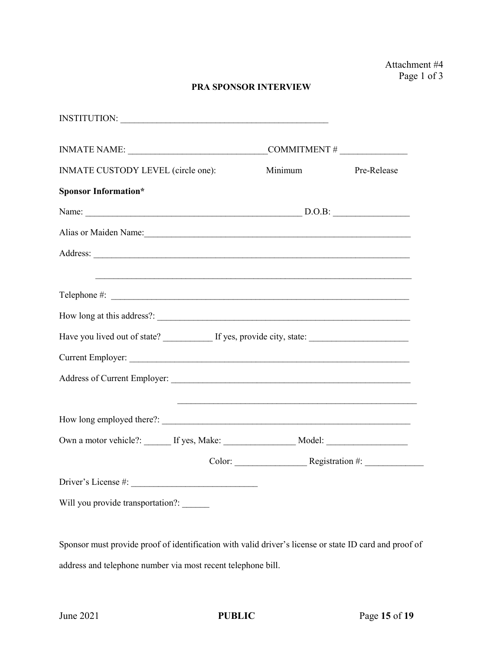### **PRA SPONSOR INTERVIEW**

| INSTITUTION:                                                                                         |         |             |
|------------------------------------------------------------------------------------------------------|---------|-------------|
|                                                                                                      |         |             |
| INMATE CUSTODY LEVEL (circle one):                                                                   | Minimum | Pre-Release |
| <b>Sponsor Information*</b>                                                                          |         |             |
|                                                                                                      |         |             |
| Alias or Maiden Name: 1988                                                                           |         |             |
|                                                                                                      |         |             |
|                                                                                                      |         |             |
|                                                                                                      |         |             |
|                                                                                                      |         |             |
| Have you lived out of state? _____________ If yes, provide city, state: ____________________________ |         |             |
| Current Employer:                                                                                    |         |             |
|                                                                                                      |         |             |
|                                                                                                      |         |             |
|                                                                                                      |         |             |
| Own a motor vehicle?: ______ If yes, Make: _____________________ Model: ____________________________ |         |             |
|                                                                                                      |         |             |
|                                                                                                      |         |             |
| Will you provide transportation?: ______                                                             |         |             |

Sponsor must provide proof of identification with valid driver's license or state ID card and proof of address and telephone number via most recent telephone bill.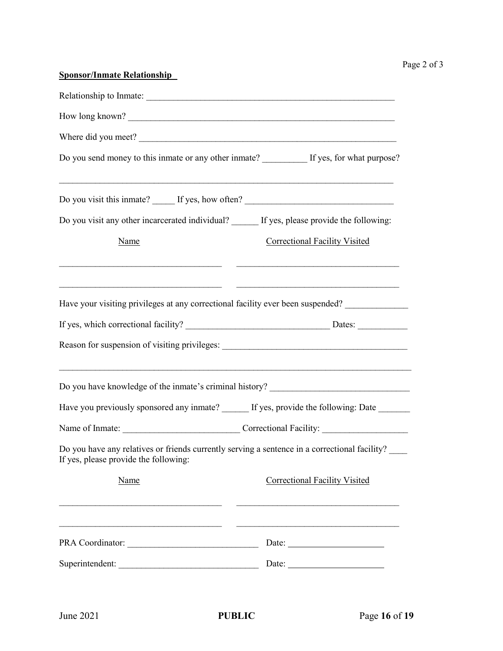| <b>Sponsor/Inmate Relationship</b>                                                                                                     |                                                                                                                                                                                                                                                                                                                                                                                                               |
|----------------------------------------------------------------------------------------------------------------------------------------|---------------------------------------------------------------------------------------------------------------------------------------------------------------------------------------------------------------------------------------------------------------------------------------------------------------------------------------------------------------------------------------------------------------|
|                                                                                                                                        |                                                                                                                                                                                                                                                                                                                                                                                                               |
| How long known?                                                                                                                        |                                                                                                                                                                                                                                                                                                                                                                                                               |
| Where did you meet?                                                                                                                    |                                                                                                                                                                                                                                                                                                                                                                                                               |
| Do you send money to this inmate or any other inmate? If yes, for what purpose?                                                        |                                                                                                                                                                                                                                                                                                                                                                                                               |
| Do you visit this inmate? ______ If yes, how often? _____________________________                                                      |                                                                                                                                                                                                                                                                                                                                                                                                               |
| Do you visit any other incarcerated individual? _____ If yes, please provide the following:                                            |                                                                                                                                                                                                                                                                                                                                                                                                               |
| Name                                                                                                                                   | <b>Correctional Facility Visited</b>                                                                                                                                                                                                                                                                                                                                                                          |
| Have your visiting privileges at any correctional facility ever been suspended?                                                        |                                                                                                                                                                                                                                                                                                                                                                                                               |
|                                                                                                                                        |                                                                                                                                                                                                                                                                                                                                                                                                               |
| Do you have knowledge of the inmate's criminal history? ________________________                                                       |                                                                                                                                                                                                                                                                                                                                                                                                               |
| Have you previously sponsored any inmate? ______ If yes, provide the following: Date ______                                            |                                                                                                                                                                                                                                                                                                                                                                                                               |
|                                                                                                                                        |                                                                                                                                                                                                                                                                                                                                                                                                               |
| Do you have any relatives or friends currently serving a sentence in a correctional facility?<br>If yes, please provide the following: |                                                                                                                                                                                                                                                                                                                                                                                                               |
| Name                                                                                                                                   | <b>Correctional Facility Visited</b>                                                                                                                                                                                                                                                                                                                                                                          |
|                                                                                                                                        |                                                                                                                                                                                                                                                                                                                                                                                                               |
|                                                                                                                                        | Date: $\frac{1}{\sqrt{1-\frac{1}{2}}\sqrt{1-\frac{1}{2}}\sqrt{1-\frac{1}{2}}\sqrt{1-\frac{1}{2}}\sqrt{1-\frac{1}{2}}\sqrt{1-\frac{1}{2}}\sqrt{1-\frac{1}{2}}\sqrt{1-\frac{1}{2}}\sqrt{1-\frac{1}{2}}\sqrt{1-\frac{1}{2}}\sqrt{1-\frac{1}{2}}\sqrt{1-\frac{1}{2}}\sqrt{1-\frac{1}{2}}\sqrt{1-\frac{1}{2}}\sqrt{1-\frac{1}{2}}\sqrt{1-\frac{1}{2}}\sqrt{1-\frac{1}{2}}\sqrt{1-\frac{1}{2}}\sqrt{1-\frac{1}{2}}$ |
| Superintendent:                                                                                                                        | Date: $\frac{1}{\sqrt{1-\frac{1}{2}}\sqrt{1-\frac{1}{2}}\sqrt{1-\frac{1}{2}}\sqrt{1-\frac{1}{2}}\sqrt{1-\frac{1}{2}}}}$                                                                                                                                                                                                                                                                                       |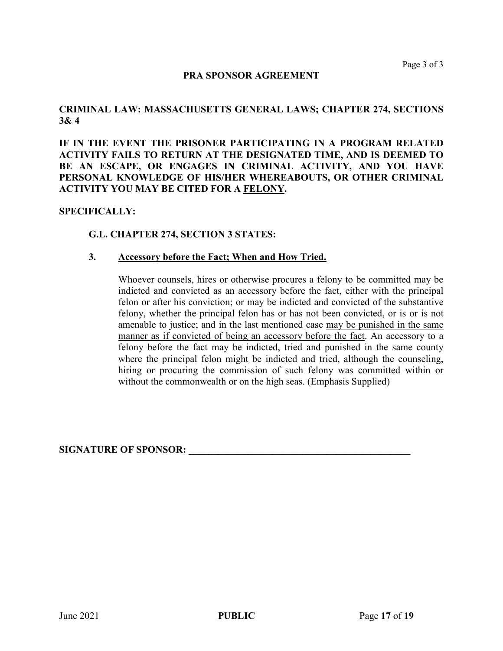#### **PRA SPONSOR AGREEMENT**

### **CRIMINAL LAW: MASSACHUSETTS GENERAL LAWS; CHAPTER 274, SECTIONS 3& 4**

**IF IN THE EVENT THE PRISONER PARTICIPATING IN A PROGRAM RELATED ACTIVITY FAILS TO RETURN AT THE DESIGNATED TIME, AND IS DEEMED TO BE AN ESCAPE, OR ENGAGES IN CRIMINAL ACTIVITY, AND YOU HAVE PERSONAL KNOWLEDGE OF HIS/HER WHEREABOUTS, OR OTHER CRIMINAL ACTIVITY YOU MAY BE CITED FOR A FELONY.**

#### **SPECIFICALLY:**

#### **G.L. CHAPTER 274, SECTION 3 STATES:**

#### **3. Accessory before the Fact; When and How Tried.**

Whoever counsels, hires or otherwise procures a felony to be committed may be indicted and convicted as an accessory before the fact, either with the principal felon or after his conviction; or may be indicted and convicted of the substantive felony, whether the principal felon has or has not been convicted, or is or is not amenable to justice; and in the last mentioned case may be punished in the same manner as if convicted of being an accessory before the fact. An accessory to a felony before the fact may be indicted, tried and punished in the same county where the principal felon might be indicted and tried, although the counseling, hiring or procuring the commission of such felony was committed within or without the commonwealth or on the high seas. (Emphasis Supplied)

#### **SIGNATURE OF SPONSOR: \_\_\_\_\_\_\_\_\_\_\_\_\_\_\_\_\_\_\_\_\_\_\_\_\_\_\_\_\_\_\_\_\_\_\_\_\_\_\_\_\_\_\_\_\_**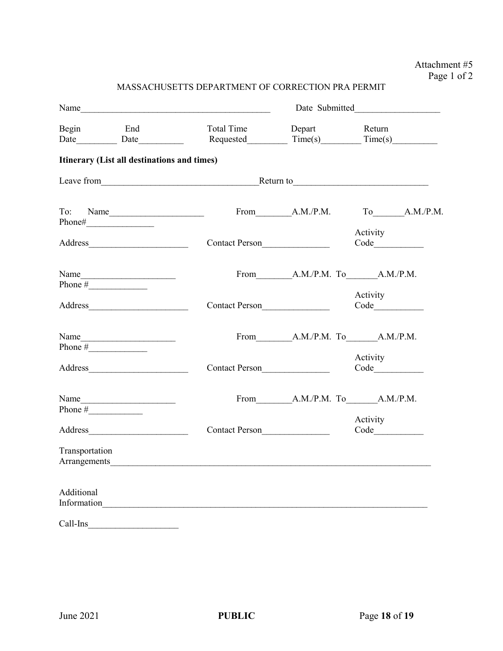# Attachment #5 Page 1 of 2

| MASSACHUSETTS DEPARTMENT OF CORRECTION PRA PERMIT |  |  |  |
|---------------------------------------------------|--|--|--|
|---------------------------------------------------|--|--|--|

| Name           |                                                                                                                                                                                                                                |                                                                                                                                                                                                                               |                |                                       |  |  |
|----------------|--------------------------------------------------------------------------------------------------------------------------------------------------------------------------------------------------------------------------------|-------------------------------------------------------------------------------------------------------------------------------------------------------------------------------------------------------------------------------|----------------|---------------------------------------|--|--|
|                | Begin End<br>Date Date                                                                                                                                                                                                         | Total Time                                                                                                                                                                                                                    | Depart         | Return<br>Requested $Time(s)$ Time(s) |  |  |
|                | Itinerary (List all destinations and times)                                                                                                                                                                                    |                                                                                                                                                                                                                               |                |                                       |  |  |
|                |                                                                                                                                                                                                                                |                                                                                                                                                                                                                               |                | Return to                             |  |  |
| To:            | Name                                                                                                                                                                                                                           |                                                                                                                                                                                                                               | From A.M./P.M. | To A.M./P.M.                          |  |  |
|                | Address and the contract of the contract of the contract of the contract of the contract of the contract of the contract of the contract of the contract of the contract of the contract of the contract of the contract of th | Contact Person                                                                                                                                                                                                                |                | Activity                              |  |  |
|                | Phone $\#$                                                                                                                                                                                                                     |                                                                                                                                                                                                                               |                | From A.M./P.M. To A.M./P.M.           |  |  |
|                |                                                                                                                                                                                                                                | Contact Person                                                                                                                                                                                                                |                | Activity                              |  |  |
|                | Name                                                                                                                                                                                                                           |                                                                                                                                                                                                                               |                | From A.M./P.M. To A.M./P.M.           |  |  |
|                |                                                                                                                                                                                                                                | Contact Person                                                                                                                                                                                                                |                | Activity                              |  |  |
|                | Name<br>Phone $\frac{1}{2}$                                                                                                                                                                                                    |                                                                                                                                                                                                                               |                | From A.M./P.M. To A.M./P.M.           |  |  |
|                |                                                                                                                                                                                                                                | Contact Person                                                                                                                                                                                                                |                | Activity                              |  |  |
| Transportation |                                                                                                                                                                                                                                | Arrangements and the contract of the contract of the contract of the contract of the contract of the contract of the contract of the contract of the contract of the contract of the contract of the contract of the contract |                |                                       |  |  |
| Additional     |                                                                                                                                                                                                                                | Information                                                                                                                                                                                                                   |                |                                       |  |  |
| Call-Ins       |                                                                                                                                                                                                                                |                                                                                                                                                                                                                               |                |                                       |  |  |